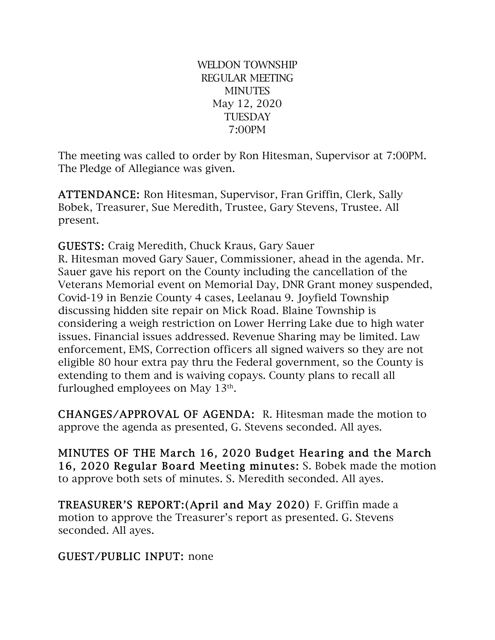WELDON TOWNSHIP REGULAR MEETING **MINUTES** May 12, 2020 **TUESDAY** 7:00PM

The meeting was called to order by Ron Hitesman, Supervisor at 7:00PM. The Pledge of Allegiance was given.

ATTENDANCE: Ron Hitesman, Supervisor, Fran Griffin, Clerk, Sally Bobek, Treasurer, Sue Meredith, Trustee, Gary Stevens, Trustee. All present.

GUESTS: Craig Meredith, Chuck Kraus, Gary Sauer

R. Hitesman moved Gary Sauer, Commissioner, ahead in the agenda. Mr. Sauer gave his report on the County including the cancellation of the Veterans Memorial event on Memorial Day, DNR Grant money suspended, Covid-19 in Benzie County 4 cases, Leelanau 9. Joyfield Township discussing hidden site repair on Mick Road. Blaine Township is considering a weigh restriction on Lower Herring Lake due to high water issues. Financial issues addressed. Revenue Sharing may be limited. Law enforcement, EMS, Correction officers all signed waivers so they are not eligible 80 hour extra pay thru the Federal government, so the County is extending to them and is waiving copays. County plans to recall all furloughed employees on May 13th.

CHANGES/APPROVAL OF AGENDA: R. Hitesman made the motion to approve the agenda as presented, G. Stevens seconded. All ayes.

MINUTES OF THE March 16, 2020 Budget Hearing and the March 16, 2020 Regular Board Meeting minutes: S. Bobek made the motion to approve both sets of minutes. S. Meredith seconded. All ayes.

TREASURER'S REPORT:(April and May 2020) F. Griffin made a motion to approve the Treasurer's report as presented. G. Stevens seconded. All ayes.

#### GUEST/PUBLIC INPUT: none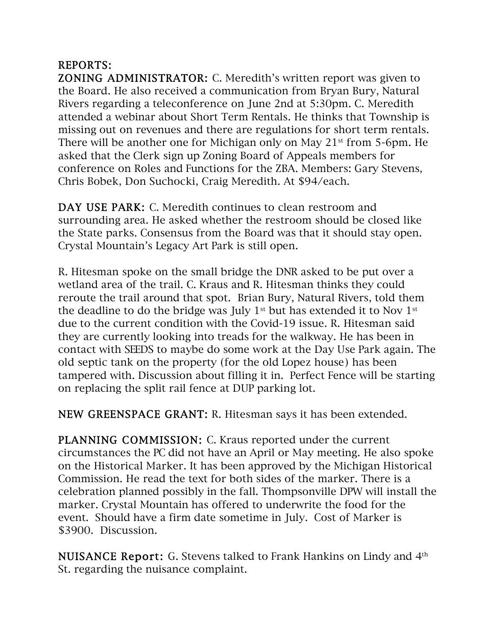# REPORTS:

ZONING ADMINISTRATOR: C. Meredith's written report was given to the Board. He also received a communication from Bryan Bury, Natural Rivers regarding a teleconference on June 2nd at 5:30pm. C. Meredith attended a webinar about Short Term Rentals. He thinks that Township is missing out on revenues and there are regulations for short term rentals. There will be another one for Michigan only on May 21<sup>st</sup> from 5-6pm. He asked that the Clerk sign up Zoning Board of Appeals members for conference on Roles and Functions for the ZBA. Members: Gary Stevens, Chris Bobek, Don Suchocki, Craig Meredith. At \$94/each.

DAY USE PARK: C. Meredith continues to clean restroom and surrounding area. He asked whether the restroom should be closed like the State parks. Consensus from the Board was that it should stay open. Crystal Mountain's Legacy Art Park is still open.

R. Hitesman spoke on the small bridge the DNR asked to be put over a wetland area of the trail. C. Kraus and R. Hitesman thinks they could reroute the trail around that spot. Brian Bury, Natural Rivers, told them the deadline to do the bridge was July 1<sup>st</sup> but has extended it to Nov 1<sup>st</sup> due to the current condition with the Covid-19 issue. R. Hitesman said they are currently looking into treads for the walkway. He has been in contact with SEEDS to maybe do some work at the Day Use Park again. The old septic tank on the property (for the old Lopez house) has been tampered with. Discussion about filling it in. Perfect Fence will be starting on replacing the split rail fence at DUP parking lot.

NEW GREENSPACE GRANT: R. Hitesman says it has been extended.

PLANNING COMMISSION: C. Kraus reported under the current circumstances the PC did not have an April or May meeting. He also spoke on the Historical Marker. It has been approved by the Michigan Historical Commission. He read the text for both sides of the marker. There is a celebration planned possibly in the fall. Thompsonville DPW will install the marker. Crystal Mountain has offered to underwrite the food for the event. Should have a firm date sometime in July. Cost of Marker is \$3900. Discussion.

NUISANCE Report: G. Stevens talked to Frank Hankins on Lindy and 4<sup>th</sup> St. regarding the nuisance complaint.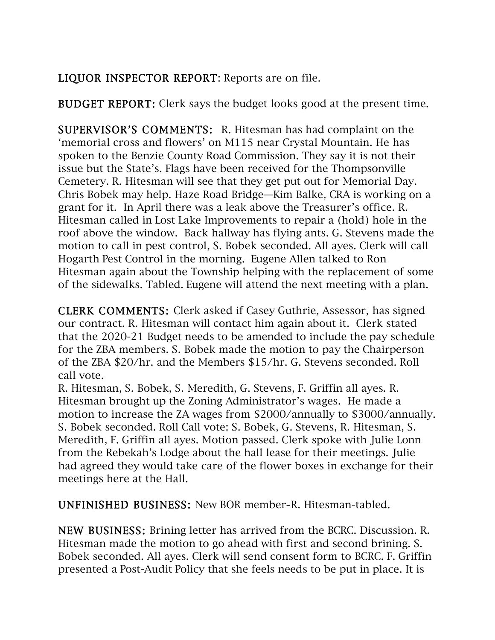# LIQUOR INSPECTOR REPORT: Reports are on file.

BUDGET REPORT: Clerk says the budget looks good at the present time.

SUPERVISOR'S COMMENTS: R. Hitesman has had complaint on the 'memorial cross and flowers' on M115 near Crystal Mountain. He has spoken to the Benzie County Road Commission. They say it is not their issue but the State's. Flags have been received for the Thompsonville Cemetery. R. Hitesman will see that they get put out for Memorial Day. Chris Bobek may help. Haze Road Bridge—Kim Balke, CRA is working on a grant for it. In April there was a leak above the Treasurer's office. R. Hitesman called in Lost Lake Improvements to repair a (hold) hole in the roof above the window. Back hallway has flying ants. G. Stevens made the motion to call in pest control, S. Bobek seconded. All ayes. Clerk will call Hogarth Pest Control in the morning. Eugene Allen talked to Ron Hitesman again about the Township helping with the replacement of some of the sidewalks. Tabled. Eugene will attend the next meeting with a plan.

CLERK COMMENTS: Clerk asked if Casey Guthrie, Assessor, has signed our contract. R. Hitesman will contact him again about it. Clerk stated that the 2020-21 Budget needs to be amended to include the pay schedule for the ZBA members. S. Bobek made the motion to pay the Chairperson of the ZBA \$20/hr. and the Members \$15/hr. G. Stevens seconded. Roll call vote.

R. Hitesman, S. Bobek, S. Meredith, G. Stevens, F. Griffin all ayes. R. Hitesman brought up the Zoning Administrator's wages. He made a motion to increase the ZA wages from \$2000/annually to \$3000/annually. S. Bobek seconded. Roll Call vote: S. Bobek, G. Stevens, R. Hitesman, S. Meredith, F. Griffin all ayes. Motion passed. Clerk spoke with Julie Lonn from the Rebekah's Lodge about the hall lease for their meetings. Julie had agreed they would take care of the flower boxes in exchange for their meetings here at the Hall.

UNFINISHED BUSINESS: New BOR member-R. Hitesman-tabled.

NEW BUSINESS: Brining letter has arrived from the BCRC. Discussion. R. Hitesman made the motion to go ahead with first and second brining. S. Bobek seconded. All ayes. Clerk will send consent form to BCRC. F. Griffin presented a Post-Audit Policy that she feels needs to be put in place. It is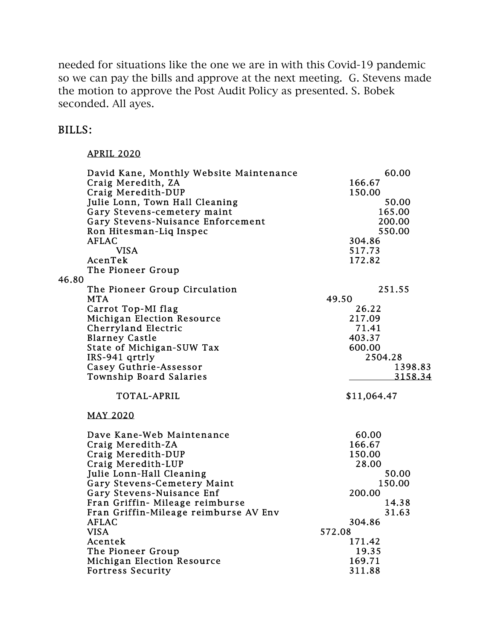needed for situations like the one we are in with this Covid-19 pandemic so we can pay the bills and approve at the next meeting. G. Stevens made the motion to approve the Post Audit Policy as presented. S. Bobek seconded. All ayes.

#### BILLS:

### APRIL 2020

|       | David Kane, Monthly Website Maintenance | 60.00       |
|-------|-----------------------------------------|-------------|
|       | Craig Meredith, ZA                      | 166.67      |
|       | Craig Meredith-DUP                      | 150.00      |
|       | Julie Lonn, Town Hall Cleaning          | 50.00       |
|       | Gary Stevens-cemetery maint             | 165.00      |
|       | Gary Stevens-Nuisance Enforcement       | 200.00      |
|       | Ron Hitesman-Liq Inspec                 | 550.00      |
|       | <b>AFLAC</b>                            | 304.86      |
|       | <b>VISA</b>                             | 517.73      |
|       | AcenTek                                 | 172.82      |
|       | The Pioneer Group                       |             |
| 46.80 |                                         |             |
|       |                                         | 251.55      |
|       | The Pioneer Group Circulation           | 49.50       |
|       | <b>MTA</b>                              |             |
|       | Carrot Top-MI flag                      | 26.22       |
|       | <b>Michigan Election Resource</b>       | 217.09      |
|       | Cherryland Electric                     | 71.41       |
|       | <b>Blarney Castle</b>                   | 403.37      |
|       | State of Michigan-SUW Tax               | 600.00      |
|       | IRS-941 qrtrly                          | 2504.28     |
|       | Casey Guthrie-Assessor                  | 1398.83     |
|       | Township Board Salaries                 | 3158.34     |
|       | <b>TOTAL-APRIL</b>                      | \$11,064.47 |
|       | <b>MAY 2020</b>                         |             |
|       | Dave Kane-Web Maintenance               | 60.00       |
|       | Craig Meredith-ZA                       | 166.67      |
|       | Craig Meredith-DUP                      | 150.00      |
|       | Craig Meredith-LUP                      | 28.00       |
|       | Julie Lonn-Hall Cleaning                | 50.00       |
|       | Gary Stevens-Cemetery Maint             | 150.00      |
|       | Gary Stevens-Nuisance Enf               | 200.00      |
|       | Fran Griffin- Mileage reimburse         | 14.38       |
|       | Fran Griffin-Mileage reimburse AV Env   | 31.63       |
|       | <b>AFLAC</b>                            | 304.86      |
|       | <b>VISA</b>                             | 572.08      |
|       | Acentek                                 | 171.42      |
|       | The Pioneer Group                       | 19.35       |
|       | <b>Michigan Election Resource</b>       | 169.71      |
|       | <b>Fortress Security</b>                | 311.88      |
|       |                                         |             |